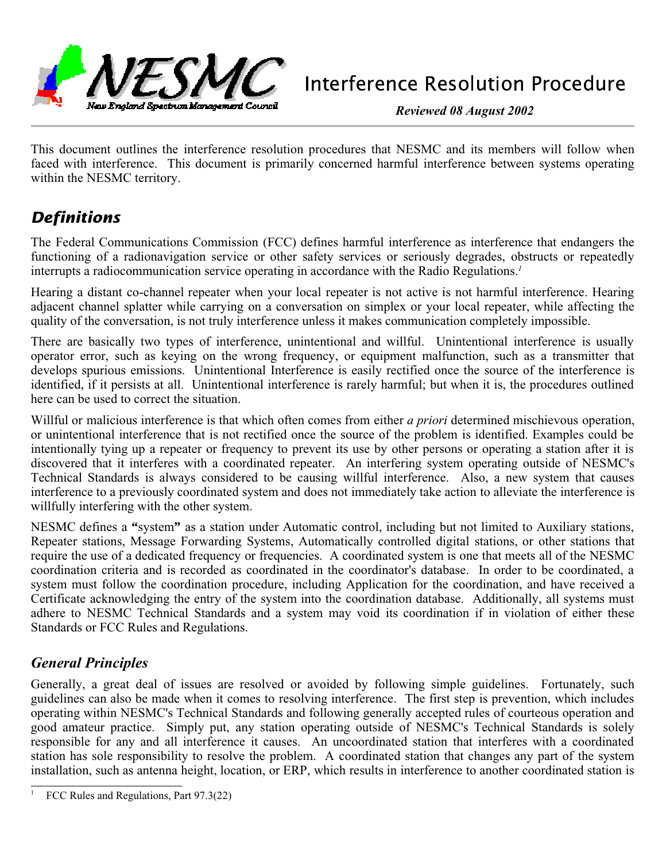

**Reviewed 08 August 2002**

This document outlines the interference resolution procedures that NESMC and its members will follow when faced with interference. This document is primarily concerned harmful interference between systems operating within the NESMC territory.

# *Definitions*

The Federal Communications Commission (FCC) defines harmful interference as interference that endangers the functioning of a radionavigation service or other safety services or seriously degrades, obstructs or repeatedly interrupts a radiocommunication service operating in accordance with the Radio Regulations.<sup>1</sup>

Hearing a distant co-channel repeater when your local repeater is not active is not harmful interference. Hearing adjacent channel splatter while carrying on a conversation on simplex or your local repeater, while affecting the quality of the conversation, is not truly interference unless it makes communication completely impossible.

There are basically two types of interference, unintentional and willful. Unintentional interference is usually operator error, such as keying on the wrong frequency, or equipment malfunction, such as a transmitter that develops spurious emissions. Unintentional Interference is easily rectified once the source of the interference is identified, if it persists at all. Unintentional interference is rarely harmful; but when it is, the procedures outlined here can be used to correct the situation.

Willful or malicious interference is that which often comes from either a priori determined mischievous operation, or unintentional interference that is not rectified once the source of the problem is identified. Examples could be intentionally tying up a repeater or frequency to prevent its use by other persons or operating a station after it is discovered that it interferes with a coordinated repeater. An interfering system operating outside of NESMC's Technical Standards is always considered to be causing willful interference. Also, a new system that causes interference to a previously coordinated system and does not immediately take action to alleviate the interference is willfully interfering with the other system.

NESMC defines a **"**system**"** as a station under Automatic control, including but not limited to Auxiliary stations, Repeater stations, Message Forwarding Systems, Automatically controlled digital stations, or other stations that require the use of a dedicated frequency or frequencies. A coordinated system is one that meets all of the NESMC coordination criteria and is recorded as coordinated in the coordinator's database. In order to be coordinated, a system must follow the coordination procedure, including Application for the coordination, and have received a Certificate acknowledging the entry of the system into the coordination database. Additionally, all systems must adhere to NESMC Technical Standards and a system may void its coordination if in violation of either these Standards or FCC Rules and Regulations.

# **General Principles**

Generally, a great deal of issues are resolved or avoided by following simple guidelines. Fortunately, such guidelines can also be made when it comes to resolving interference. The first step is prevention, which includes operating within NESMC's Technical Standards and following generally accepted rules of courteous operation and good amateur practice. Simply put, any station operating outside of NESMC's Technical Standards is solely responsible for any and all interference it causes. An uncoordinated station that interferes with a coordinated station has sole responsibility to resolve the problem. A coordinated station that changes any part of the system installation, such as antenna height, location, or ERP, which results in interference to another coordinated station is

FCC Rules and Regulations, Part 97.3(22)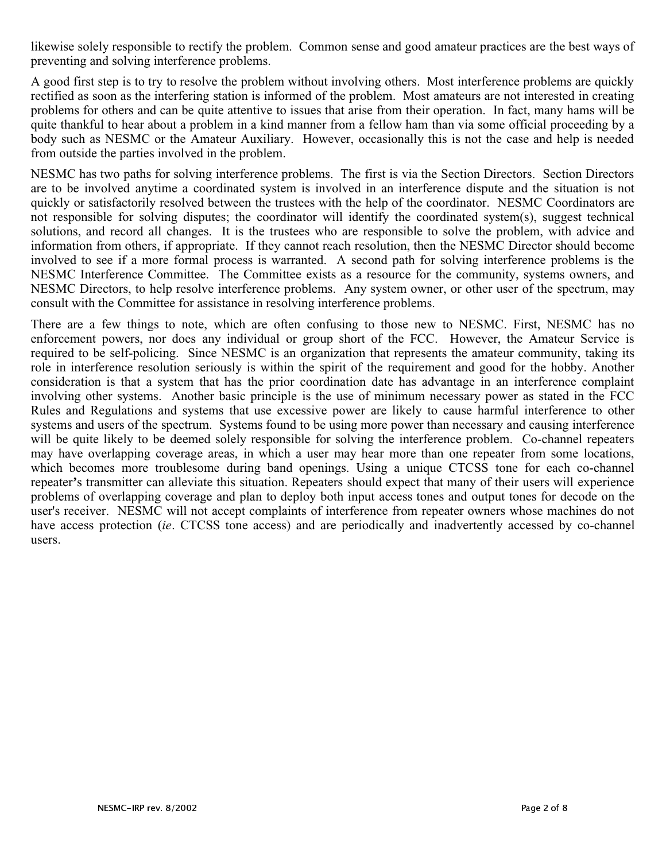likewise solely responsible to rectify the problem. Common sense and good amateur practices are the best ways of preventing and solving interference problems.

A good first step is to try to resolve the problem without involving others. Most interference problems are quickly rectified as soon as the interfering station is informed of the problem. Most amateurs are not interested in creating problems for others and can be quite attentive to issues that arise from their operation. In fact, many hams will be quite thankful to hear about a problem in a kind manner from a fellow ham than via some official proceeding by a body such as NESMC or the Amateur Auxiliary. However, occasionally this is not the case and help is needed from outside the parties involved in the problem.

NESMC has two paths for solving interference problems. The first is via the Section Directors. Section Directors are to be involved anytime a coordinated system is involved in an interference dispute and the situation is not quickly or satisfactorily resolved between the trustees with the help of the coordinator. NESMC Coordinators are not responsible for solving disputes; the coordinator will identify the coordinated system(s), suggest technical solutions, and record all changes. It is the trustees who are responsible to solve the problem, with advice and information from others, if appropriate. If they cannot reach resolution, then the NESMC Director should become involved to see if a more formal process is warranted. A second path for solving interference problems is the NESMC Interference Committee. The Committee exists as a resource for the community, systems owners, and NESMC Directors, to help resolve interference problems. Any system owner, or other user of the spectrum, may consult with the Committee for assistance in resolving interference problems.

There are a few things to note, which are often confusing to those new to NESMC. First, NESMC has no enforcement powers, nor does any individual or group short of the FCC. However, the Amateur Service is required to be self-policing. Since NESMC is an organization that represents the amateur community, taking its role in interference resolution seriously is within the spirit of the requirement and good for the hobby. Another consideration is that a system that has the prior coordination date has advantage in an interference complaint involving other systems. Another basic principle is the use of minimum necessary power as stated in the FCC Rules and Regulations and systems that use excessive power are likely to cause harmful interference to other systems and users of the spectrum. Systems found to be using more power than necessary and causing interference will be quite likely to be deemed solely responsible for solving the interference problem. Co-channel repeaters may have overlapping coverage areas, in which a user may hear more than one repeater from some locations, which becomes more troublesome during band openings. Using a unique CTCSS tone for each co-channel repeater**'**s transmitter can alleviate this situation. Repeaters should expect that many of their users will experience problems of overlapping coverage and plan to deploy both input access tones and output tones for decode on the user's receiver. NESMC will not accept complaints of interference from repeater owners whose machines do not have access protection *(ie.* CTCSS tone access) and are periodically and inadvertently accessed by co-channel users.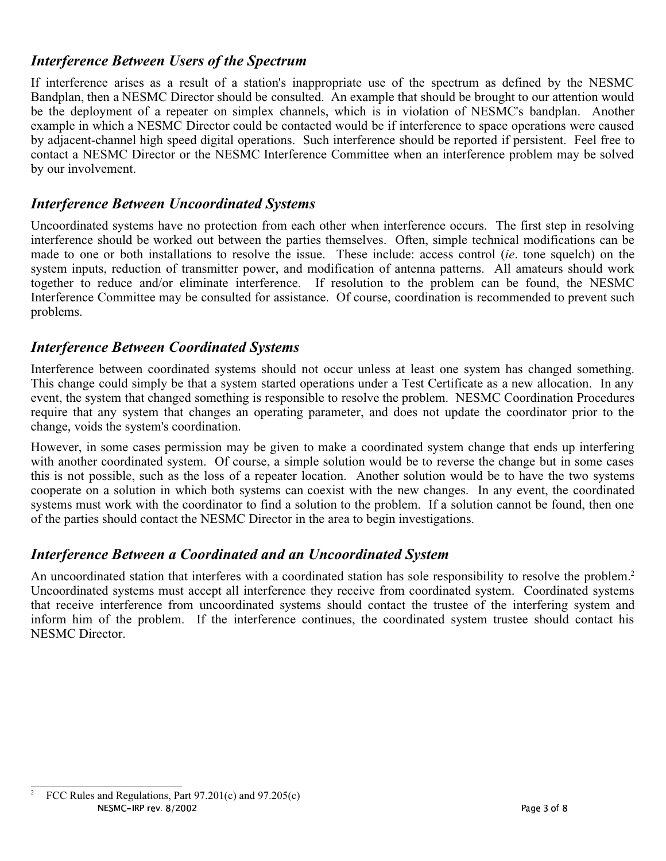# **Interference Between Users of the Spectrum**

If interference arises as a result of a station's inappropriate use of the spectrum as defined by the NESMC Bandplan, then a NESMC Director should be consulted. An example that should be brought to our attention would be the deployment of a repeater on simplex channels, which is in violation of NESMC's bandplan. Another example in which a NESMC Director could be contacted would be if interference to space operations were caused by adjacent-channel high speed digital operations. Such interference should be reported if persistent. Feel free to contact a NESMC Director or the NESMC Interference Committee when an interference problem may be solved by our involvement.

## **Interference Between Uncoordinated Systems**

Uncoordinated systems have no protection from each other when interference occurs. The first step in resolving interference should be worked out between the parties themselves. Often, simple technical modifications can be made to one or both installations to resolve the issue. These include: access control *(ie.* tone squelch) on the system inputs, reduction of transmitter power, and modification of antenna patterns. All amateurs should work together to reduce and/or eliminate interference. If resolution to the problem can be found, the NESMC Interference Committee may be consulted for assistance. Of course, coordination is recommended to prevent such problems.

#### **Interference Between Coordinated Systems**

Interference between coordinated systems should not occur unless at least one system has changed something. This change could simply be that a system started operations under a Test Certificate as a new allocation. In any event, the system that changed something is responsible to resolve the problem. NESMC Coordination Procedures require that any system that changes an operating parameter, and does not update the coordinator prior to the change, voids the system's coordination.

However, in some cases permission may be given to make a coordinated system change that ends up interfering with another coordinated system. Of course, a simple solution would be to reverse the change but in some cases this is not possible, such as the loss of a repeater location. Another solution would be to have the two systems cooperate on a solution in which both systems can coexist with the new changes. In any event, the coordinated systems must work with the coordinator to find a solution to the problem. If a solution cannot be found, then one of the parties should contact the NESMC Director in the area to begin investigations.

# **Interference Between a Coordinated and an Uncoordinated System**

An uncoordinated station that interferes with a coordinated station has sole responsibility to resolve the problem.<sup>2</sup> Uncoordinated systems must accept all interference they receive from coordinated system. Coordinated systems that receive interference from uncoordinated systems should contact the trustee of the interfering system and inform him of the problem. If the interference continues, the coordinated system trustee should contact his NESMC Director.

<sup>&</sup>lt;sup>2</sup> FCC Rules and Regulations, Part  $97.201(c)$  and  $97.205(c)$ NESMC-IRP rev. 8/2002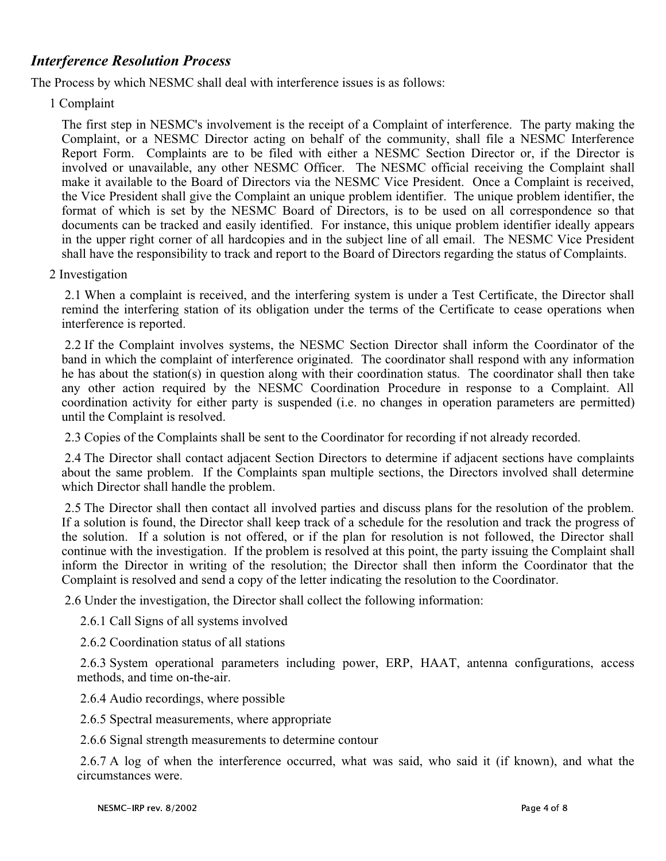### **Interference Resolution Process**

The Process by which NESMC shall deal with interference issues is as follows:

1 Complaint

The first step in NESMC's involvement is the receipt of a Complaint of interference. The party making the Complaint, or a NESMC Director acting on behalf of the community, shall file a NESMC Interference Report Form. Complaints are to be filed with either a NESMC Section Director or, if the Director is involved or unavailable, any other NESMC Officer. The NESMC official receiving the Complaint shall make it available to the Board of Directors via the NESMC Vice President. Once a Complaint is received, the Vice President shall give the Complaint an unique problem identifier. The unique problem identifier, the format of which is set by the NESMC Board of Directors, is to be used on all correspondence so that documents can be tracked and easily identified. For instance, this unique problem identifier ideally appears in the upper right corner of all hardcopies and in the subject line of all email. The NESMC Vice President shall have the responsibility to track and report to the Board of Directors regarding the status of Complaints.

2 Investigation

 2.1 When a complaint is received, and the interfering system is under a Test Certificate, the Director shall remind the interfering station of its obligation under the terms of the Certificate to cease operations when interference is reported.

 2.2 If the Complaint involves systems, the NESMC Section Director shall inform the Coordinator of the band in which the complaint of interference originated. The coordinator shall respond with any information he has about the station(s) in question along with their coordination status. The coordinator shall then take any other action required by the NESMC Coordination Procedure in response to a Complaint. All coordination activity for either party is suspended (i.e. no changes in operation parameters are permitted) until the Complaint is resolved.

2.3 Copies of the Complaints shall be sent to the Coordinator for recording if not already recorded.

 2.4 The Director shall contact adjacent Section Directors to determine if adjacent sections have complaints about the same problem. If the Complaints span multiple sections, the Directors involved shall determine which Director shall handle the problem.

 2.5 The Director shall then contact all involved parties and discuss plans for the resolution of the problem. If a solution is found, the Director shall keep track of a schedule for the resolution and track the progress of the solution. If a solution is not offered, or if the plan for resolution is not followed, the Director shall continue with the investigation. If the problem is resolved at this point, the party issuing the Complaint shall inform the Director in writing of the resolution; the Director shall then inform the Coordinator that the Complaint is resolved and send a copy of the letter indicating the resolution to the Coordinator.

2.6 Under the investigation, the Director shall collect the following information:

2.6.1 Call Signs of all systems involved

2.6.2 Coordination status of all stations

 2.6.3 System operational parameters including power, ERP, HAAT, antenna configurations, access methods, and time on-the-air.

2.6.4 Audio recordings, where possible

2.6.5 Spectral measurements, where appropriate

2.6.6 Signal strength measurements to determine contour

 2.6.7 A log of when the interference occurred, what was said, who said it (if known), and what the circumstances were.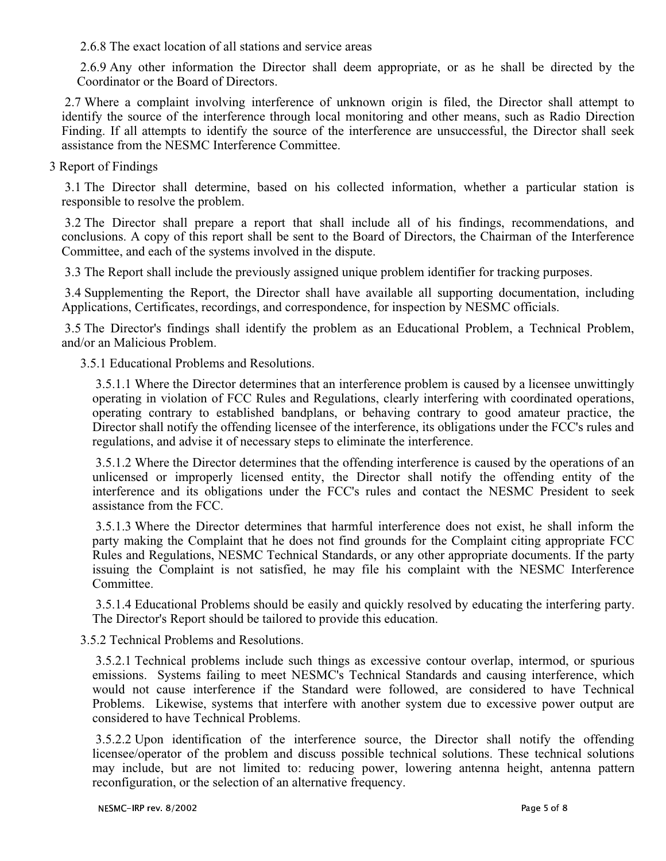2.6.8 The exact location of all stations and service areas

 2.6.9 Any other information the Director shall deem appropriate, or as he shall be directed by the Coordinator or the Board of Directors.

 2.7 Where a complaint involving interference of unknown origin is filed, the Director shall attempt to identify the source of the interference through local monitoring and other means, such as Radio Direction Finding. If all attempts to identify the source of the interference are unsuccessful, the Director shall seek assistance from the NESMC Interference Committee.

3 Report of Findings

 3.1 The Director shall determine, based on his collected information, whether a particular station is responsible to resolve the problem.

 3.2 The Director shall prepare a report that shall include all of his findings, recommendations, and conclusions. A copy of this report shall be sent to the Board of Directors, the Chairman of the Interference Committee, and each of the systems involved in the dispute.

3.3 The Report shall include the previously assigned unique problem identifier for tracking purposes.

 3.4 Supplementing the Report, the Director shall have available all supporting documentation, including Applications, Certificates, recordings, and correspondence, for inspection by NESMC officials.

 3.5 The Director's findings shall identify the problem as an Educational Problem, a Technical Problem, and/or an Malicious Problem.

3.5.1 Educational Problems and Resolutions.

 3.5.1.1 Where the Director determines that an interference problem is caused by a licensee unwittingly operating in violation of FCC Rules and Regulations, clearly interfering with coordinated operations, operating contrary to established bandplans, or behaving contrary to good amateur practice, the Director shall notify the offending licensee of the interference, its obligations under the FCC's rules and regulations, and advise it of necessary steps to eliminate the interference.

 3.5.1.2 Where the Director determines that the offending interference is caused by the operations of an unlicensed or improperly licensed entity, the Director shall notify the offending entity of the interference and its obligations under the FCC's rules and contact the NESMC President to seek assistance from the FCC.

 3.5.1.3 Where the Director determines that harmful interference does not exist, he shall inform the party making the Complaint that he does not find grounds for the Complaint citing appropriate FCC Rules and Regulations, NESMC Technical Standards, or any other appropriate documents. If the party issuing the Complaint is not satisfied, he may file his complaint with the NESMC Interference Committee.

 3.5.1.4 Educational Problems should be easily and quickly resolved by educating the interfering party. The Director's Report should be tailored to provide this education.

3.5.2 Technical Problems and Resolutions.

 3.5.2.1 Technical problems include such things as excessive contour overlap, intermod, or spurious emissions. Systems failing to meet NESMC's Technical Standards and causing interference, which would not cause interference if the Standard were followed, are considered to have Technical Problems. Likewise, systems that interfere with another system due to excessive power output are considered to have Technical Problems.

 3.5.2.2 Upon identification of the interference source, the Director shall notify the offending licensee/operator of the problem and discuss possible technical solutions. These technical solutions may include, but are not limited to: reducing power, lowering antenna height, antenna pattern reconfiguration, or the selection of an alternative frequency.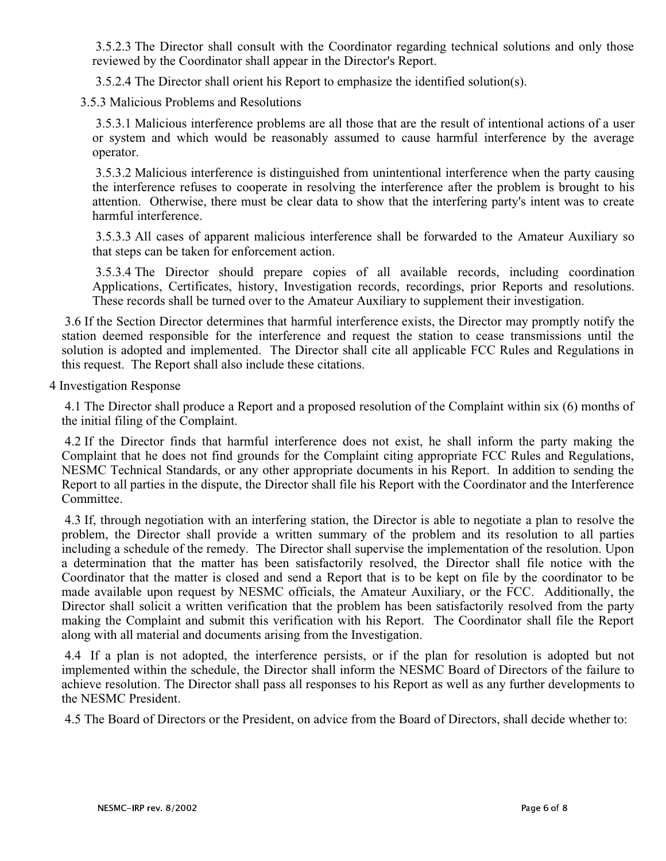3.5.2.3 The Director shall consult with the Coordinator regarding technical solutions and only those reviewed by the Coordinator shall appear in the Director's Report.

3.5.2.4 The Director shall orient his Report to emphasize the identified solution(s).

3.5.3 Malicious Problems and Resolutions

 3.5.3.1 Malicious interference problems are all those that are the result of intentional actions of a user or system and which would be reasonably assumed to cause harmful interference by the average operator.

 3.5.3.2 Malicious interference is distinguished from unintentional interference when the party causing the interference refuses to cooperate in resolving the interference after the problem is brought to his attention. Otherwise, there must be clear data to show that the interfering party's intent was to create harmful interference.

 3.5.3.3 All cases of apparent malicious interference shall be forwarded to the Amateur Auxiliary so that steps can be taken for enforcement action.

 3.5.3.4 The Director should prepare copies of all available records, including coordination Applications, Certificates, history, Investigation records, recordings, prior Reports and resolutions. These records shall be turned over to the Amateur Auxiliary to supplement their investigation.

 3.6 If the Section Director determines that harmful interference exists, the Director may promptly notify the station deemed responsible for the interference and request the station to cease transmissions until the solution is adopted and implemented. The Director shall cite all applicable FCC Rules and Regulations in this request. The Report shall also include these citations.

4 Investigation Response

 4.1 The Director shall produce a Report and a proposed resolution of the Complaint within six (6) months of the initial filing of the Complaint.

 4.2 If the Director finds that harmful interference does not exist, he shall inform the party making the Complaint that he does not find grounds for the Complaint citing appropriate FCC Rules and Regulations, NESMC Technical Standards, or any other appropriate documents in his Report. In addition to sending the Report to all parties in the dispute, the Director shall file his Report with the Coordinator and the Interference Committee.

 4.3 If, through negotiation with an interfering station, the Director is able to negotiate a plan to resolve the problem, the Director shall provide a written summary of the problem and its resolution to all parties including a schedule of the remedy. The Director shall supervise the implementation of the resolution. Upon a determination that the matter has been satisfactorily resolved, the Director shall file notice with the Coordinator that the matter is closed and send a Report that is to be kept on file by the coordinator to be made available upon request by NESMC officials, the Amateur Auxiliary, or the FCC. Additionally, the Director shall solicit a written verification that the problem has been satisfactorily resolved from the party making the Complaint and submit this verification with his Report. The Coordinator shall file the Report along with all material and documents arising from the Investigation.

 4.4 If a plan is not adopted, the interference persists, or if the plan for resolution is adopted but not implemented within the schedule, the Director shall inform the NESMC Board of Directors of the failure to achieve resolution. The Director shall pass all responses to his Report as well as any further developments to the NESMC President.

4.5 The Board of Directors or the President, on advice from the Board of Directors, shall decide whether to: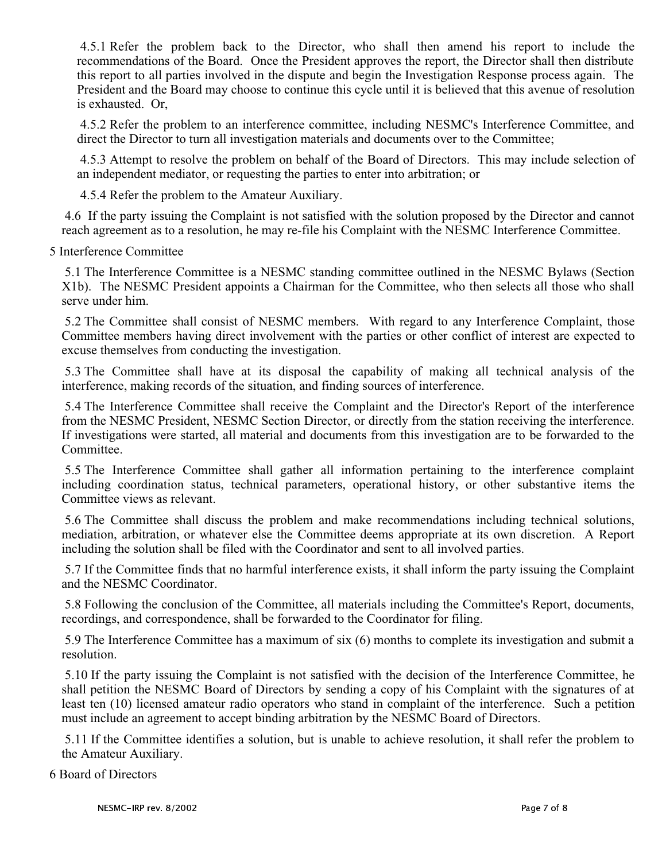4.5.1 Refer the problem back to the Director, who shall then amend his report to include the recommendations of the Board. Once the President approves the report, the Director shall then distribute this report to all parties involved in the dispute and begin the Investigation Response process again. The President and the Board may choose to continue this cycle until it is believed that this avenue of resolution is exhausted. Or,

 4.5.2 Refer the problem to an interference committee, including NESMC's Interference Committee, and direct the Director to turn all investigation materials and documents over to the Committee;

 4.5.3 Attempt to resolve the problem on behalf of the Board of Directors. This may include selection of an independent mediator, or requesting the parties to enter into arbitration; or

4.5.4 Refer the problem to the Amateur Auxiliary.

 4.6 If the party issuing the Complaint is not satisfied with the solution proposed by the Director and cannot reach agreement as to a resolution, he may re-file his Complaint with the NESMC Interference Committee.

5 Interference Committee

 5.1 The Interference Committee is a NESMC standing committee outlined in the NESMC Bylaws (Section X1b). The NESMC President appoints a Chairman for the Committee, who then selects all those who shall serve under him.

 5.2 The Committee shall consist of NESMC members. With regard to any Interference Complaint, those Committee members having direct involvement with the parties or other conflict of interest are expected to excuse themselves from conducting the investigation.

 5.3 The Committee shall have at its disposal the capability of making all technical analysis of the interference, making records of the situation, and finding sources of interference.

 5.4 The Interference Committee shall receive the Complaint and the Director's Report of the interference from the NESMC President, NESMC Section Director, or directly from the station receiving the interference. If investigations were started, all material and documents from this investigation are to be forwarded to the Committee.

 5.5 The Interference Committee shall gather all information pertaining to the interference complaint including coordination status, technical parameters, operational history, or other substantive items the Committee views as relevant.

 5.6 The Committee shall discuss the problem and make recommendations including technical solutions, mediation, arbitration, or whatever else the Committee deems appropriate at its own discretion. A Report including the solution shall be filed with the Coordinator and sent to all involved parties.

 5.7 If the Committee finds that no harmful interference exists, it shall inform the party issuing the Complaint and the NESMC Coordinator.

 5.8 Following the conclusion of the Committee, all materials including the Committee's Report, documents, recordings, and correspondence, shall be forwarded to the Coordinator for filing.

 5.9 The Interference Committee has a maximum of six (6) months to complete its investigation and submit a resolution.

 5.10 If the party issuing the Complaint is not satisfied with the decision of the Interference Committee, he shall petition the NESMC Board of Directors by sending a copy of his Complaint with the signatures of at least ten (10) licensed amateur radio operators who stand in complaint of the interference. Such a petition must include an agreement to accept binding arbitration by the NESMC Board of Directors.

 5.11 If the Committee identifies a solution, but is unable to achieve resolution, it shall refer the problem to the Amateur Auxiliary.

6 Board of Directors